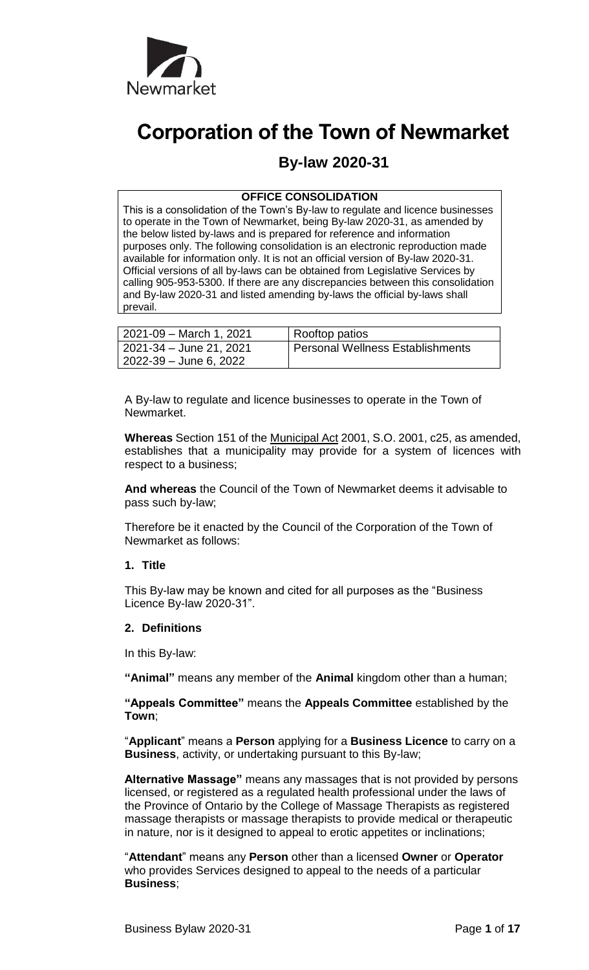

# **Corporation of the Town of Newmarket**

# **By-law 2020-31**

# **OFFICE CONSOLIDATION**

This is a consolidation of the Town's By-law to regulate and licence businesses to operate in the Town of Newmarket, being By-law 2020-31, as amended by the below listed by-laws and is prepared for reference and information purposes only. The following consolidation is an electronic reproduction made available for information only. It is not an official version of By-law 2020-31. Official versions of all by-laws can be obtained from Legislative Services by calling 905-953-5300. If there are any discrepancies between this consolidation and By-law 2020-31 and listed amending by-laws the official by-laws shall prevail.

| 2021-09 – March 1, 2021 | Rooftop patios                   |
|-------------------------|----------------------------------|
| 2021-34 – June 21, 2021 | Personal Wellness Establishments |
| 2022-39 – June 6, 2022  |                                  |

A By-law to regulate and licence businesses to operate in the Town of Newmarket.

**Whereas** Section 151 of the Municipal Act 2001, S.O. 2001, c25, as amended, establishes that a municipality may provide for a system of licences with respect to a business;

**And whereas** the Council of the Town of Newmarket deems it advisable to pass such by-law;

Therefore be it enacted by the Council of the Corporation of the Town of Newmarket as follows:

#### **1. Title**

This By-law may be known and cited for all purposes as the "Business Licence By-law 2020-31".

# **2. Definitions**

In this By-law:

**"Animal"** means any member of the **Animal** kingdom other than a human;

**"Appeals Committee"** means the **Appeals Committee** established by the **Town**;

"**Applicant**" means a **Person** applying for a **Business Licence** to carry on a **Business**, activity, or undertaking pursuant to this By-law;

**Alternative Massage"** means any massages that is not provided by persons licensed, or registered as a regulated health professional under the laws of the Province of Ontario by the College of Massage Therapists as registered massage therapists or massage therapists to provide medical or therapeutic in nature, nor is it designed to appeal to erotic appetites or inclinations;

"**Attendant**" means any **Person** other than a licensed **Owner** or **Operator** who provides Services designed to appeal to the needs of a particular **Business**;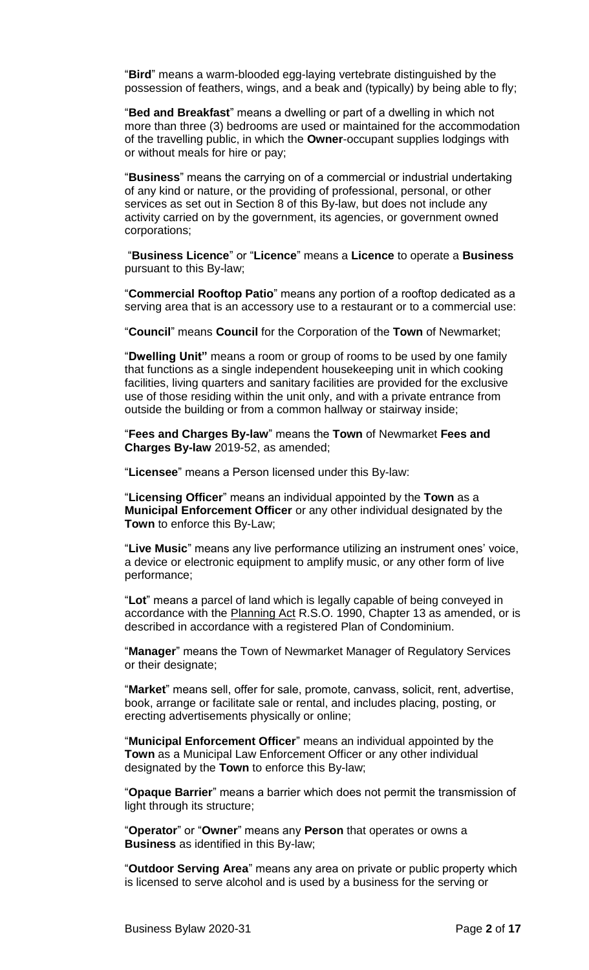"**Bird**" means a warm-blooded egg-laying vertebrate distinguished by the possession of feathers, wings, and a beak and (typically) by being able to fly;

"**Bed and Breakfast**" means a dwelling or part of a dwelling in which not more than three (3) bedrooms are used or maintained for the accommodation of the travelling public, in which the **Owner**-occupant supplies lodgings with or without meals for hire or pay;

"**Business**" means the carrying on of a commercial or industrial undertaking of any kind or nature, or the providing of professional, personal, or other services as set out in Section 8 of this By-law, but does not include any activity carried on by the government, its agencies, or government owned corporations;

"**Business Licence**" or "**Licence**" means a **Licence** to operate a **Business** pursuant to this By-law;

"**Commercial Rooftop Patio**" means any portion of a rooftop dedicated as a serving area that is an accessory use to a restaurant or to a commercial use:

"**Council**" means **Council** for the Corporation of the **Town** of Newmarket;

"**Dwelling Unit"** means a room or group of rooms to be used by one family that functions as a single independent housekeeping unit in which cooking facilities, living quarters and sanitary facilities are provided for the exclusive use of those residing within the unit only, and with a private entrance from outside the building or from a common hallway or stairway inside;

"**Fees and Charges By-law**" means the **Town** of Newmarket **Fees and Charges By-law** 2019-52, as amended;

"**Licensee**" means a Person licensed under this By-law:

"**Licensing Officer**" means an individual appointed by the **Town** as a **Municipal Enforcement Officer** or any other individual designated by the **Town** to enforce this By-Law;

"**Live Music**" means any live performance utilizing an instrument ones' voice, a device or electronic equipment to amplify music, or any other form of live performance;

"**Lot**" means a parcel of land which is legally capable of being conveyed in accordance with the Planning Act R.S.O. 1990, Chapter 13 as amended, or is described in accordance with a registered Plan of Condominium.

"**Manager**" means the Town of Newmarket Manager of Regulatory Services or their designate;

"**Market**" means sell, offer for sale, promote, canvass, solicit, rent, advertise, book, arrange or facilitate sale or rental, and includes placing, posting, or erecting advertisements physically or online;

"**Municipal Enforcement Officer**" means an individual appointed by the **Town** as a Municipal Law Enforcement Officer or any other individual designated by the **Town** to enforce this By-law;

"**Opaque Barrier**" means a barrier which does not permit the transmission of light through its structure;

"**Operator**" or "**Owner**" means any **Person** that operates or owns a **Business** as identified in this By-law;

"**Outdoor Serving Area**" means any area on private or public property which is licensed to serve alcohol and is used by a business for the serving or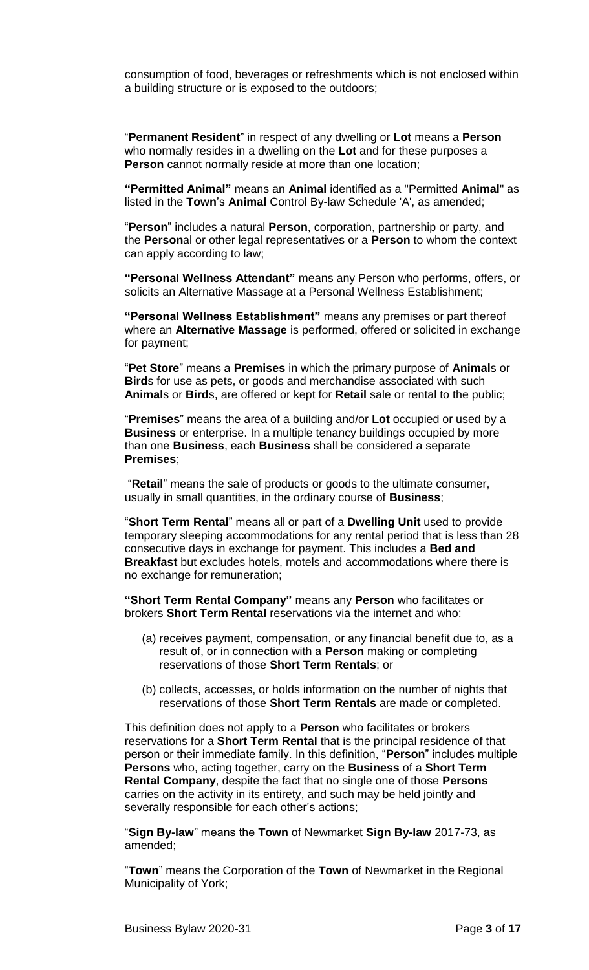consumption of food, beverages or refreshments which is not enclosed within a building structure or is exposed to the outdoors;

"**Permanent Resident**" in respect of any dwelling or **Lot** means a **Person** who normally resides in a dwelling on the **Lot** and for these purposes a **Person** cannot normally reside at more than one location;

**"Permitted Animal"** means an **Animal** identified as a "Permitted **Animal**" as listed in the **Town**'s **Animal** Control By-law Schedule 'A', as amended;

"**Person**" includes a natural **Person**, corporation, partnership or party, and the **Person**al or other legal representatives or a **Person** to whom the context can apply according to law;

**"Personal Wellness Attendant"** means any Person who performs, offers, or solicits an Alternative Massage at a Personal Wellness Establishment;

**"Personal Wellness Establishment"** means any premises or part thereof where an **Alternative Massage** is performed, offered or solicited in exchange for payment;

"**Pet Store**" means a **Premises** in which the primary purpose of **Animal**s or **Bird**s for use as pets, or goods and merchandise associated with such **Animal**s or **Bird**s, are offered or kept for **Retail** sale or rental to the public;

"**Premises**" means the area of a building and/or **Lot** occupied or used by a **Business** or enterprise. In a multiple tenancy buildings occupied by more than one **Business**, each **Business** shall be considered a separate **Premises**;

"**Retail**" means the sale of products or goods to the ultimate consumer, usually in small quantities, in the ordinary course of **Business**;

"**Short Term Rental**" means all or part of a **Dwelling Unit** used to provide temporary sleeping accommodations for any rental period that is less than 28 consecutive days in exchange for payment. This includes a **Bed and Breakfast** but excludes hotels, motels and accommodations where there is no exchange for remuneration;

**"Short Term Rental Company"** means any **Person** who facilitates or brokers **Short Term Rental** reservations via the internet and who:

- (a) receives payment, compensation, or any financial benefit due to, as a result of, or in connection with a **Person** making or completing reservations of those **Short Term Rentals**; or
- (b) collects, accesses, or holds information on the number of nights that reservations of those **Short Term Rentals** are made or completed.

This definition does not apply to a **Person** who facilitates or brokers reservations for a **Short Term Rental** that is the principal residence of that person or their immediate family. In this definition, "**Person**" includes multiple **Persons** who, acting together, carry on the **Business** of a **Short Term Rental Company**, despite the fact that no single one of those **Persons** carries on the activity in its entirety, and such may be held jointly and severally responsible for each other's actions;

"**Sign By-law**" means the **Town** of Newmarket **Sign By-law** 2017-73, as amended;

"**Town**" means the Corporation of the **Town** of Newmarket in the Regional Municipality of York;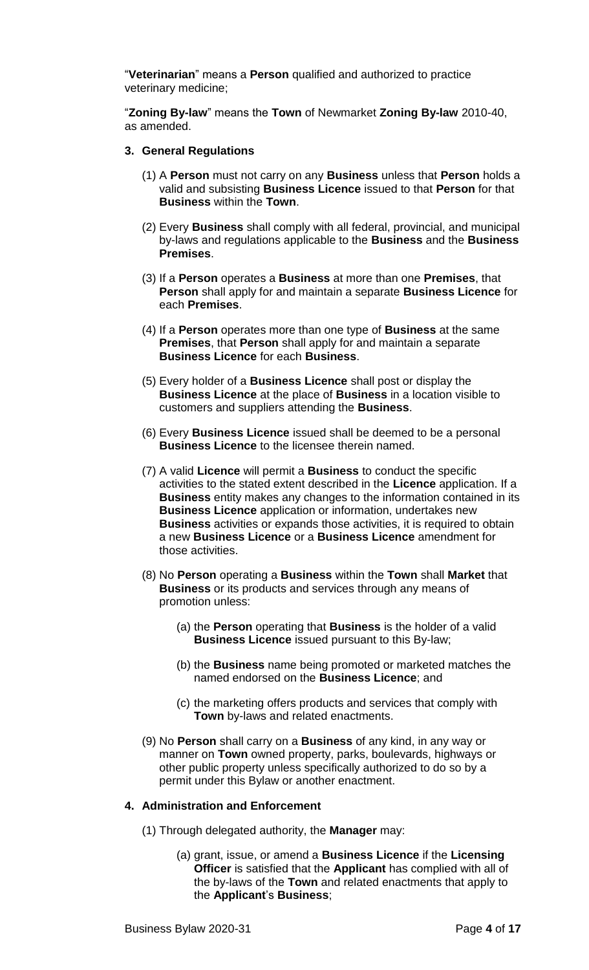"**Veterinarian**" means a **Person** qualified and authorized to practice veterinary medicine;

"**Zoning By-law**" means the **Town** of Newmarket **Zoning By-law** 2010-40, as amended.

#### **3. General Regulations**

- (1) A **Person** must not carry on any **Business** unless that **Person** holds a valid and subsisting **Business Licence** issued to that **Person** for that **Business** within the **Town**.
- (2) Every **Business** shall comply with all federal, provincial, and municipal by-laws and regulations applicable to the **Business** and the **Business Premises**.
- (3) If a **Person** operates a **Business** at more than one **Premises**, that **Person** shall apply for and maintain a separate **Business Licence** for each **Premises**.
- (4) If a **Person** operates more than one type of **Business** at the same **Premises**, that **Person** shall apply for and maintain a separate **Business Licence** for each **Business**.
- (5) Every holder of a **Business Licence** shall post or display the **Business Licence** at the place of **Business** in a location visible to customers and suppliers attending the **Business**.
- (6) Every **Business Licence** issued shall be deemed to be a personal **Business Licence** to the licensee therein named.
- (7) A valid **Licence** will permit a **Business** to conduct the specific activities to the stated extent described in the **Licence** application. If a **Business** entity makes any changes to the information contained in its **Business Licence** application or information, undertakes new **Business** activities or expands those activities, it is required to obtain a new **Business Licence** or a **Business Licence** amendment for those activities.
- (8) No **Person** operating a **Business** within the **Town** shall **Market** that **Business** or its products and services through any means of promotion unless:
	- (a) the **Person** operating that **Business** is the holder of a valid **Business Licence** issued pursuant to this By-law;
	- (b) the **Business** name being promoted or marketed matches the named endorsed on the **Business Licence**; and
	- (c) the marketing offers products and services that comply with **Town** by-laws and related enactments.
- (9) No **Person** shall carry on a **Business** of any kind, in any way or manner on **Town** owned property, parks, boulevards, highways or other public property unless specifically authorized to do so by a permit under this Bylaw or another enactment.

#### **4. Administration and Enforcement**

- (1) Through delegated authority, the **Manager** may:
	- (a) grant, issue, or amend a **Business Licence** if the **Licensing Officer** is satisfied that the **Applicant** has complied with all of the by-laws of the **Town** and related enactments that apply to the **Applicant**'s **Business**;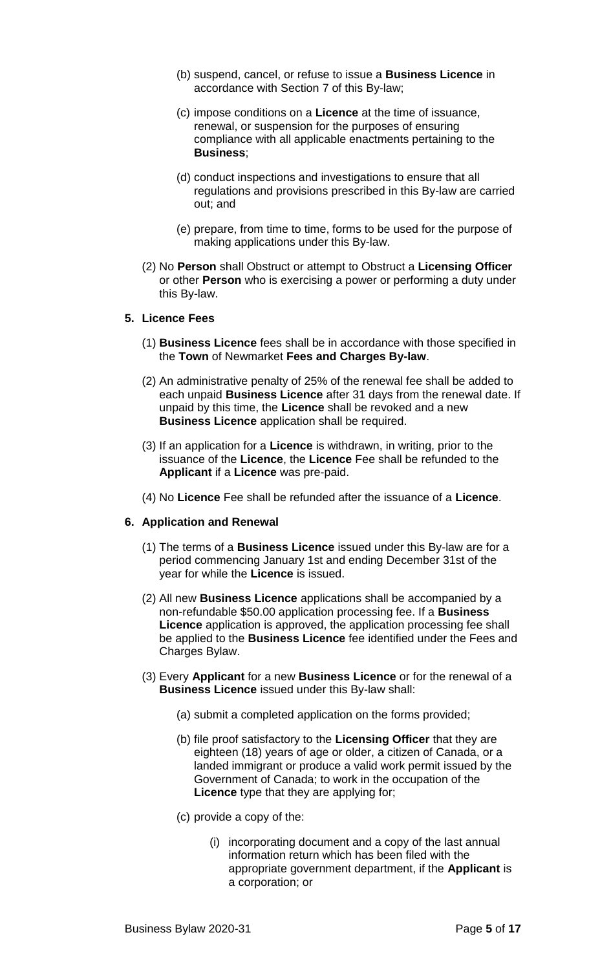- (b) suspend, cancel, or refuse to issue a **Business Licence** in accordance with Section 7 of this By-law;
- (c) impose conditions on a **Licence** at the time of issuance, renewal, or suspension for the purposes of ensuring compliance with all applicable enactments pertaining to the **Business**;
- (d) conduct inspections and investigations to ensure that all regulations and provisions prescribed in this By-law are carried out; and
- (e) prepare, from time to time, forms to be used for the purpose of making applications under this By-law.
- (2) No **Person** shall Obstruct or attempt to Obstruct a **Licensing Officer** or other **Person** who is exercising a power or performing a duty under this By-law.

#### **5. Licence Fees**

- (1) **Business Licence** fees shall be in accordance with those specified in the **Town** of Newmarket **Fees and Charges By-law**.
- (2) An administrative penalty of 25% of the renewal fee shall be added to each unpaid **Business Licence** after 31 days from the renewal date. If unpaid by this time, the **Licence** shall be revoked and a new **Business Licence** application shall be required.
- (3) If an application for a **Licence** is withdrawn, in writing, prior to the issuance of the **Licence**, the **Licence** Fee shall be refunded to the **Applicant** if a **Licence** was pre-paid.
- (4) No **Licence** Fee shall be refunded after the issuance of a **Licence**.

#### **6. Application and Renewal**

- (1) The terms of a **Business Licence** issued under this By-law are for a period commencing January 1st and ending December 31st of the year for while the **Licence** is issued.
- (2) All new **Business Licence** applications shall be accompanied by a non-refundable \$50.00 application processing fee. If a **Business Licence** application is approved, the application processing fee shall be applied to the **Business Licence** fee identified under the Fees and Charges Bylaw.
- (3) Every **Applicant** for a new **Business Licence** or for the renewal of a **Business Licence** issued under this By-law shall:
	- (a) submit a completed application on the forms provided;
	- (b) file proof satisfactory to the **Licensing Officer** that they are eighteen (18) years of age or older, a citizen of Canada, or a landed immigrant or produce a valid work permit issued by the Government of Canada; to work in the occupation of the **Licence** type that they are applying for;
	- (c) provide a copy of the:
		- (i) incorporating document and a copy of the last annual information return which has been filed with the appropriate government department, if the **Applicant** is a corporation; or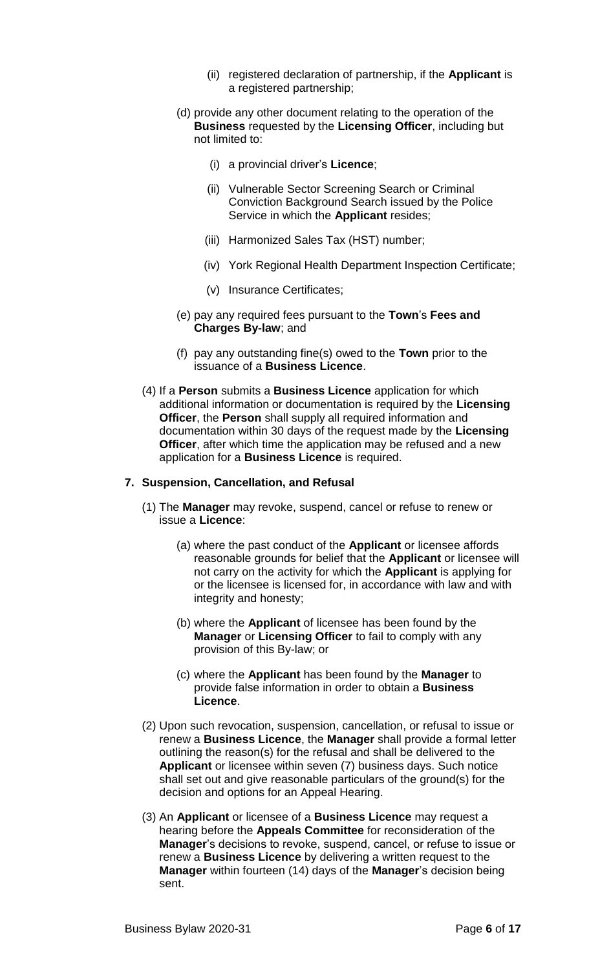- (ii) registered declaration of partnership, if the **Applicant** is a registered partnership;
- (d) provide any other document relating to the operation of the **Business** requested by the **Licensing Officer**, including but not limited to:
	- (i) a provincial driver's **Licence**;
	- (ii) Vulnerable Sector Screening Search or Criminal Conviction Background Search issued by the Police Service in which the **Applicant** resides;
	- (iii) Harmonized Sales Tax (HST) number;
	- (iv) York Regional Health Department Inspection Certificate;
	- (v) Insurance Certificates;
- (e) pay any required fees pursuant to the **Town**'s **Fees and Charges By-law**; and
- (f) pay any outstanding fine(s) owed to the **Town** prior to the issuance of a **Business Licence**.
- (4) If a **Person** submits a **Business Licence** application for which additional information or documentation is required by the **Licensing Officer**, the **Person** shall supply all required information and documentation within 30 days of the request made by the **Licensing Officer**, after which time the application may be refused and a new application for a **Business Licence** is required.

## **7. Suspension, Cancellation, and Refusal**

- (1) The **Manager** may revoke, suspend, cancel or refuse to renew or issue a **Licence**:
	- (a) where the past conduct of the **Applicant** or licensee affords reasonable grounds for belief that the **Applicant** or licensee will not carry on the activity for which the **Applicant** is applying for or the licensee is licensed for, in accordance with law and with integrity and honesty;
	- (b) where the **Applicant** of licensee has been found by the **Manager** or **Licensing Officer** to fail to comply with any provision of this By-law; or
	- (c) where the **Applicant** has been found by the **Manager** to provide false information in order to obtain a **Business Licence**.
- (2) Upon such revocation, suspension, cancellation, or refusal to issue or renew a **Business Licence**, the **Manager** shall provide a formal letter outlining the reason(s) for the refusal and shall be delivered to the **Applicant** or licensee within seven (7) business days. Such notice shall set out and give reasonable particulars of the ground(s) for the decision and options for an Appeal Hearing.
- (3) An **Applicant** or licensee of a **Business Licence** may request a hearing before the **Appeals Committee** for reconsideration of the **Manager**'s decisions to revoke, suspend, cancel, or refuse to issue or renew a **Business Licence** by delivering a written request to the **Manager** within fourteen (14) days of the **Manager**'s decision being sent.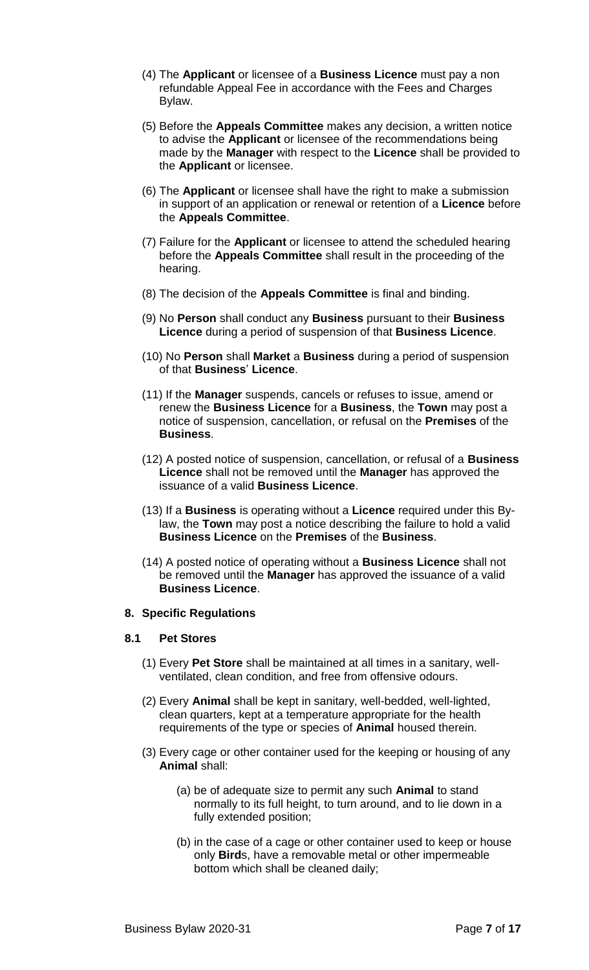- (4) The **Applicant** or licensee of a **Business Licence** must pay a non refundable Appeal Fee in accordance with the Fees and Charges Bylaw.
- (5) Before the **Appeals Committee** makes any decision, a written notice to advise the **Applicant** or licensee of the recommendations being made by the **Manager** with respect to the **Licence** shall be provided to the **Applicant** or licensee.
- (6) The **Applicant** or licensee shall have the right to make a submission in support of an application or renewal or retention of a **Licence** before the **Appeals Committee**.
- (7) Failure for the **Applicant** or licensee to attend the scheduled hearing before the **Appeals Committee** shall result in the proceeding of the hearing.
- (8) The decision of the **Appeals Committee** is final and binding.
- (9) No **Person** shall conduct any **Business** pursuant to their **Business Licence** during a period of suspension of that **Business Licence**.
- (10) No **Person** shall **Market** a **Business** during a period of suspension of that **Business**' **Licence**.
- (11) If the **Manager** suspends, cancels or refuses to issue, amend or renew the **Business Licence** for a **Business**, the **Town** may post a notice of suspension, cancellation, or refusal on the **Premises** of the **Business**.
- (12) A posted notice of suspension, cancellation, or refusal of a **Business Licence** shall not be removed until the **Manager** has approved the issuance of a valid **Business Licence**.
- (13) If a **Business** is operating without a **Licence** required under this Bylaw, the **Town** may post a notice describing the failure to hold a valid **Business Licence** on the **Premises** of the **Business**.
- (14) A posted notice of operating without a **Business Licence** shall not be removed until the **Manager** has approved the issuance of a valid **Business Licence**.

#### **8. Specific Regulations**

#### **8.1 Pet Stores**

- (1) Every **Pet Store** shall be maintained at all times in a sanitary, wellventilated, clean condition, and free from offensive odours.
- (2) Every **Animal** shall be kept in sanitary, well-bedded, well-lighted, clean quarters, kept at a temperature appropriate for the health requirements of the type or species of **Animal** housed therein.
- (3) Every cage or other container used for the keeping or housing of any **Animal** shall:
	- (a) be of adequate size to permit any such **Animal** to stand normally to its full height, to turn around, and to lie down in a fully extended position;
	- (b) in the case of a cage or other container used to keep or house only **Bird**s, have a removable metal or other impermeable bottom which shall be cleaned daily;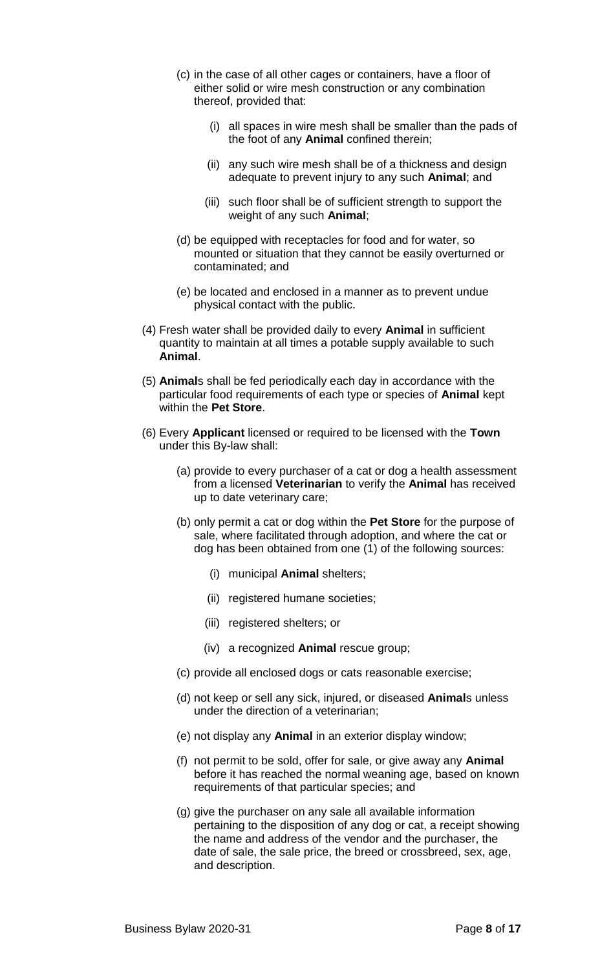- (c) in the case of all other cages or containers, have a floor of either solid or wire mesh construction or any combination thereof, provided that:
	- (i) all spaces in wire mesh shall be smaller than the pads of the foot of any **Animal** confined therein;
	- (ii) any such wire mesh shall be of a thickness and design adequate to prevent injury to any such **Animal**; and
	- (iii) such floor shall be of sufficient strength to support the weight of any such **Animal**;
- (d) be equipped with receptacles for food and for water, so mounted or situation that they cannot be easily overturned or contaminated; and
- (e) be located and enclosed in a manner as to prevent undue physical contact with the public.
- (4) Fresh water shall be provided daily to every **Animal** in sufficient quantity to maintain at all times a potable supply available to such **Animal**.
- (5) **Animal**s shall be fed periodically each day in accordance with the particular food requirements of each type or species of **Animal** kept within the **Pet Store**.
- (6) Every **Applicant** licensed or required to be licensed with the **Town** under this By-law shall:
	- (a) provide to every purchaser of a cat or dog a health assessment from a licensed **Veterinarian** to verify the **Animal** has received up to date veterinary care;
	- (b) only permit a cat or dog within the **Pet Store** for the purpose of sale, where facilitated through adoption, and where the cat or dog has been obtained from one (1) of the following sources:
		- (i) municipal **Animal** shelters;
		- (ii) registered humane societies;
		- (iii) registered shelters; or
		- (iv) a recognized **Animal** rescue group;
	- (c) provide all enclosed dogs or cats reasonable exercise;
	- (d) not keep or sell any sick, injured, or diseased **Animal**s unless under the direction of a veterinarian;
	- (e) not display any **Animal** in an exterior display window;
	- (f) not permit to be sold, offer for sale, or give away any **Animal** before it has reached the normal weaning age, based on known requirements of that particular species; and
	- (g) give the purchaser on any sale all available information pertaining to the disposition of any dog or cat, a receipt showing the name and address of the vendor and the purchaser, the date of sale, the sale price, the breed or crossbreed, sex, age, and description.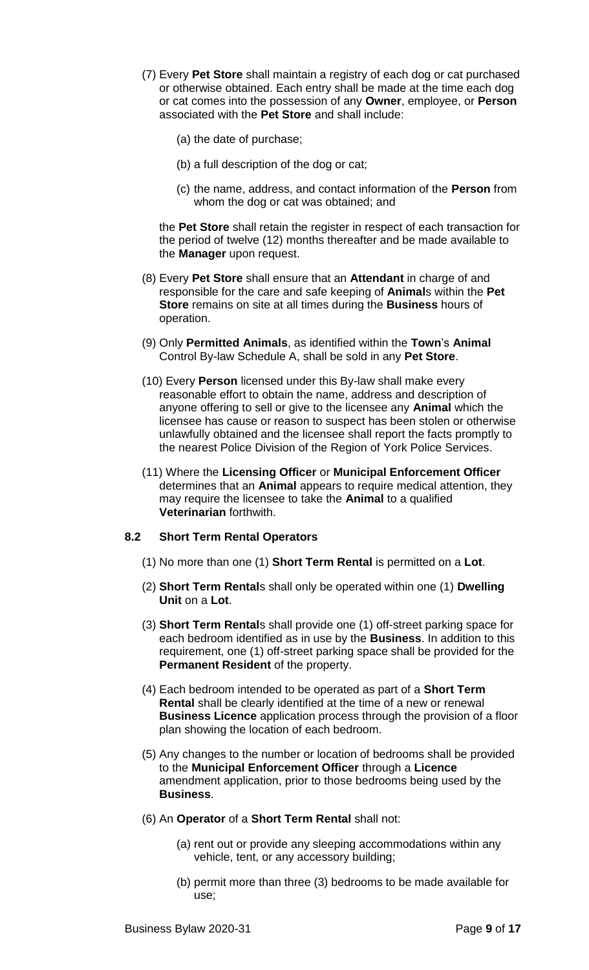- (7) Every **Pet Store** shall maintain a registry of each dog or cat purchased or otherwise obtained. Each entry shall be made at the time each dog or cat comes into the possession of any **Owner**, employee, or **Person** associated with the **Pet Store** and shall include:
	- (a) the date of purchase;
	- (b) a full description of the dog or cat;
	- (c) the name, address, and contact information of the **Person** from whom the dog or cat was obtained; and

the **Pet Store** shall retain the register in respect of each transaction for the period of twelve (12) months thereafter and be made available to the **Manager** upon request.

- (8) Every **Pet Store** shall ensure that an **Attendant** in charge of and responsible for the care and safe keeping of **Animal**s within the **Pet Store** remains on site at all times during the **Business** hours of operation.
- (9) Only **Permitted Animals**, as identified within the **Town**'s **Animal** Control By-law Schedule A, shall be sold in any **Pet Store**.
- (10) Every **Person** licensed under this By-law shall make every reasonable effort to obtain the name, address and description of anyone offering to sell or give to the licensee any **Animal** which the licensee has cause or reason to suspect has been stolen or otherwise unlawfully obtained and the licensee shall report the facts promptly to the nearest Police Division of the Region of York Police Services.
- (11) Where the **Licensing Officer** or **Municipal Enforcement Officer** determines that an **Animal** appears to require medical attention, they may require the licensee to take the **Animal** to a qualified **Veterinarian** forthwith.

#### **8.2 Short Term Rental Operators**

- (1) No more than one (1) **Short Term Rental** is permitted on a **Lot**.
- (2) **Short Term Rental**s shall only be operated within one (1) **Dwelling Unit** on a **Lot**.
- (3) **Short Term Rental**s shall provide one (1) off-street parking space for each bedroom identified as in use by the **Business**. In addition to this requirement, one (1) off-street parking space shall be provided for the **Permanent Resident** of the property.
- (4) Each bedroom intended to be operated as part of a **Short Term Rental** shall be clearly identified at the time of a new or renewal **Business Licence** application process through the provision of a floor plan showing the location of each bedroom.
- (5) Any changes to the number or location of bedrooms shall be provided to the **Municipal Enforcement Officer** through a **Licence** amendment application, prior to those bedrooms being used by the **Business**.
- (6) An **Operator** of a **Short Term Rental** shall not:
	- (a) rent out or provide any sleeping accommodations within any vehicle, tent, or any accessory building;
	- (b) permit more than three (3) bedrooms to be made available for use;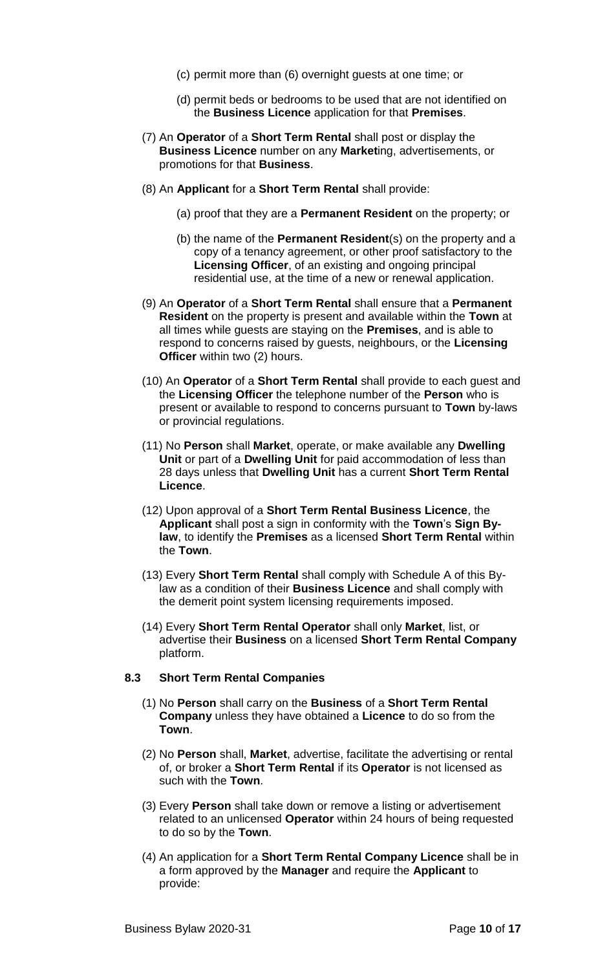- (c) permit more than (6) overnight guests at one time; or
- (d) permit beds or bedrooms to be used that are not identified on the **Business Licence** application for that **Premises**.
- (7) An **Operator** of a **Short Term Rental** shall post or display the **Business Licence** number on any **Market**ing, advertisements, or promotions for that **Business**.
- (8) An **Applicant** for a **Short Term Rental** shall provide:
	- (a) proof that they are a **Permanent Resident** on the property; or
	- (b) the name of the **Permanent Resident**(s) on the property and a copy of a tenancy agreement, or other proof satisfactory to the **Licensing Officer**, of an existing and ongoing principal residential use, at the time of a new or renewal application.
- (9) An **Operator** of a **Short Term Rental** shall ensure that a **Permanent Resident** on the property is present and available within the **Town** at all times while guests are staying on the **Premises**, and is able to respond to concerns raised by guests, neighbours, or the **Licensing Officer** within two (2) hours.
- (10) An **Operator** of a **Short Term Rental** shall provide to each guest and the **Licensing Officer** the telephone number of the **Person** who is present or available to respond to concerns pursuant to **Town** by-laws or provincial regulations.
- (11) No **Person** shall **Market**, operate, or make available any **Dwelling Unit** or part of a **Dwelling Unit** for paid accommodation of less than 28 days unless that **Dwelling Unit** has a current **Short Term Rental Licence**.
- (12) Upon approval of a **Short Term Rental Business Licence**, the **Applicant** shall post a sign in conformity with the **Town**'s **Sign Bylaw**, to identify the **Premises** as a licensed **Short Term Rental** within the **Town**.
- (13) Every **Short Term Rental** shall comply with Schedule A of this Bylaw as a condition of their **Business Licence** and shall comply with the demerit point system licensing requirements imposed.
- (14) Every **Short Term Rental Operator** shall only **Market**, list, or advertise their **Business** on a licensed **Short Term Rental Company** platform.

#### **8.3 Short Term Rental Companies**

- (1) No **Person** shall carry on the **Business** of a **Short Term Rental Company** unless they have obtained a **Licence** to do so from the **Town**.
- (2) No **Person** shall, **Market**, advertise, facilitate the advertising or rental of, or broker a **Short Term Rental** if its **Operator** is not licensed as such with the **Town**.
- (3) Every **Person** shall take down or remove a listing or advertisement related to an unlicensed **Operator** within 24 hours of being requested to do so by the **Town**.
- (4) An application for a **Short Term Rental Company Licence** shall be in a form approved by the **Manager** and require the **Applicant** to provide: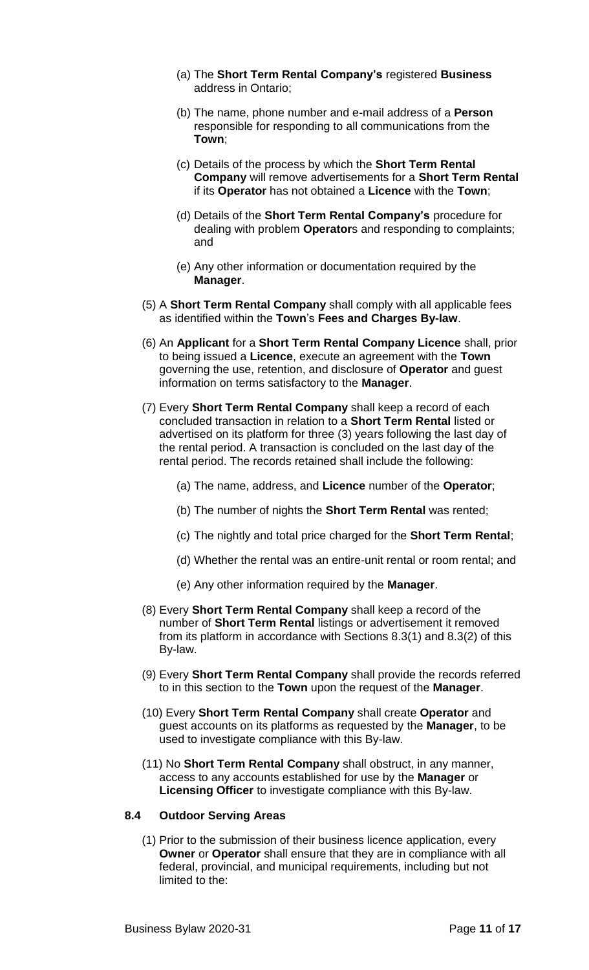- (a) The **Short Term Rental Company's** registered **Business** address in Ontario;
- (b) The name, phone number and e-mail address of a **Person** responsible for responding to all communications from the **Town**;
- (c) Details of the process by which the **Short Term Rental Company** will remove advertisements for a **Short Term Rental** if its **Operator** has not obtained a **Licence** with the **Town**;
- (d) Details of the **Short Term Rental Company's** procedure for dealing with problem **Operator**s and responding to complaints; and
- (e) Any other information or documentation required by the **Manager**.
- (5) A **Short Term Rental Company** shall comply with all applicable fees as identified within the **Town**'s **Fees and Charges By-law**.
- (6) An **Applicant** for a **Short Term Rental Company Licence** shall, prior to being issued a **Licence**, execute an agreement with the **Town** governing the use, retention, and disclosure of **Operator** and guest information on terms satisfactory to the **Manager**.
- (7) Every **Short Term Rental Company** shall keep a record of each concluded transaction in relation to a **Short Term Rental** listed or advertised on its platform for three (3) years following the last day of the rental period. A transaction is concluded on the last day of the rental period. The records retained shall include the following:
	- (a) The name, address, and **Licence** number of the **Operator**;
	- (b) The number of nights the **Short Term Rental** was rented;
	- (c) The nightly and total price charged for the **Short Term Rental**;
	- (d) Whether the rental was an entire-unit rental or room rental; and
	- (e) Any other information required by the **Manager**.
- (8) Every **Short Term Rental Company** shall keep a record of the number of **Short Term Rental** listings or advertisement it removed from its platform in accordance with Sections 8.3(1) and 8.3(2) of this By-law.
- (9) Every **Short Term Rental Company** shall provide the records referred to in this section to the **Town** upon the request of the **Manager**.
- (10) Every **Short Term Rental Company** shall create **Operator** and guest accounts on its platforms as requested by the **Manager**, to be used to investigate compliance with this By-law.
- (11) No **Short Term Rental Company** shall obstruct, in any manner, access to any accounts established for use by the **Manager** or **Licensing Officer** to investigate compliance with this By-law.

#### **8.4 Outdoor Serving Areas**

(1) Prior to the submission of their business licence application, every **Owner** or **Operator** shall ensure that they are in compliance with all federal, provincial, and municipal requirements, including but not limited to the: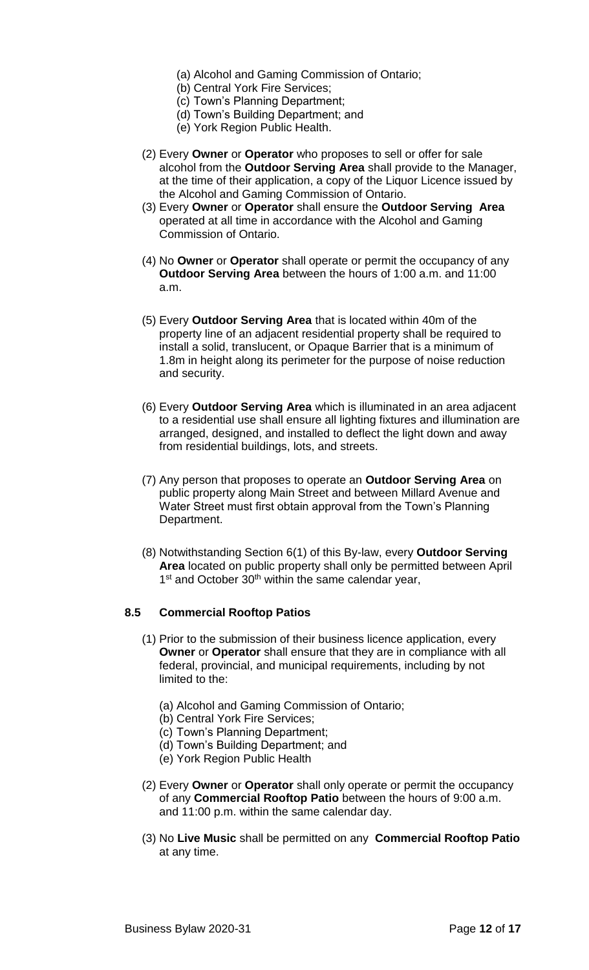- (a) Alcohol and Gaming Commission of Ontario;
- (b) Central York Fire Services;
- (c) Town's Planning Department;
- (d) Town's Building Department; and
- (e) York Region Public Health.
- (2) Every **Owner** or **Operator** who proposes to sell or offer for sale alcohol from the **Outdoor Serving Area** shall provide to the Manager, at the time of their application, a copy of the Liquor Licence issued by the Alcohol and Gaming Commission of Ontario.
- (3) Every **Owner** or **Operator** shall ensure the **Outdoor Serving Area** operated at all time in accordance with the Alcohol and Gaming Commission of Ontario.
- (4) No **Owner** or **Operator** shall operate or permit the occupancy of any **Outdoor Serving Area** between the hours of 1:00 a.m. and 11:00 a.m.
- (5) Every **Outdoor Serving Area** that is located within 40m of the property line of an adjacent residential property shall be required to install a solid, translucent, or Opaque Barrier that is a minimum of 1.8m in height along its perimeter for the purpose of noise reduction and security.
- (6) Every **Outdoor Serving Area** which is illuminated in an area adjacent to a residential use shall ensure all lighting fixtures and illumination are arranged, designed, and installed to deflect the light down and away from residential buildings, lots, and streets.
- (7) Any person that proposes to operate an **Outdoor Serving Area** on public property along Main Street and between Millard Avenue and Water Street must first obtain approval from the Town's Planning Department.
- (8) Notwithstanding Section 6(1) of this By-law, every **Outdoor Serving Area** located on public property shall only be permitted between April 1<sup>st</sup> and October 30<sup>th</sup> within the same calendar year,

# **8.5 Commercial Rooftop Patios**

- (1) Prior to the submission of their business licence application, every **Owner** or **Operator** shall ensure that they are in compliance with all federal, provincial, and municipal requirements, including by not limited to the:
	- (a) Alcohol and Gaming Commission of Ontario;
	- (b) Central York Fire Services;
	- (c) Town's Planning Department;
	- (d) Town's Building Department; and
	- (e) York Region Public Health
- (2) Every **Owner** or **Operator** shall only operate or permit the occupancy of any **Commercial Rooftop Patio** between the hours of 9:00 a.m. and 11:00 p.m. within the same calendar day.
- (3) No **Live Music** shall be permitted on any **Commercial Rooftop Patio** at any time.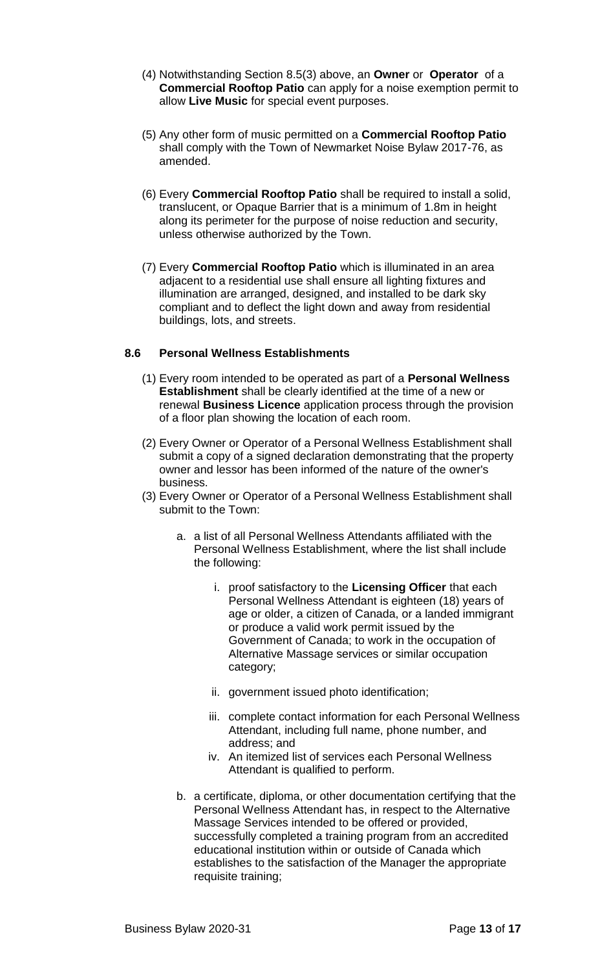- (4) Notwithstanding Section 8.5(3) above, an **Owner** or **Operator** of a **Commercial Rooftop Patio** can apply for a noise exemption permit to allow **Live Music** for special event purposes.
- (5) Any other form of music permitted on a **Commercial Rooftop Patio** shall comply with the Town of Newmarket Noise Bylaw 2017-76, as amended.
- (6) Every **Commercial Rooftop Patio** shall be required to install a solid, translucent, or Opaque Barrier that is a minimum of 1.8m in height along its perimeter for the purpose of noise reduction and security, unless otherwise authorized by the Town.
- (7) Every **Commercial Rooftop Patio** which is illuminated in an area adjacent to a residential use shall ensure all lighting fixtures and illumination are arranged, designed, and installed to be dark sky compliant and to deflect the light down and away from residential buildings, lots, and streets.

# **8.6 Personal Wellness Establishments**

- (1) Every room intended to be operated as part of a **Personal Wellness Establishment** shall be clearly identified at the time of a new or renewal **Business Licence** application process through the provision of a floor plan showing the location of each room.
- (2) Every Owner or Operator of a Personal Wellness Establishment shall submit a copy of a signed declaration demonstrating that the property owner and lessor has been informed of the nature of the owner's business.
- (3) Every Owner or Operator of a Personal Wellness Establishment shall submit to the Town:
	- a. a list of all Personal Wellness Attendants affiliated with the Personal Wellness Establishment, where the list shall include the following:
		- i. proof satisfactory to the **Licensing Officer** that each Personal Wellness Attendant is eighteen (18) years of age or older, a citizen of Canada, or a landed immigrant or produce a valid work permit issued by the Government of Canada; to work in the occupation of Alternative Massage services or similar occupation category;
		- ii. government issued photo identification;
		- iii. complete contact information for each Personal Wellness Attendant, including full name, phone number, and address; and
		- iv. An itemized list of services each Personal Wellness Attendant is qualified to perform.
	- b. a certificate, diploma, or other documentation certifying that the Personal Wellness Attendant has, in respect to the Alternative Massage Services intended to be offered or provided, successfully completed a training program from an accredited educational institution within or outside of Canada which establishes to the satisfaction of the Manager the appropriate requisite training;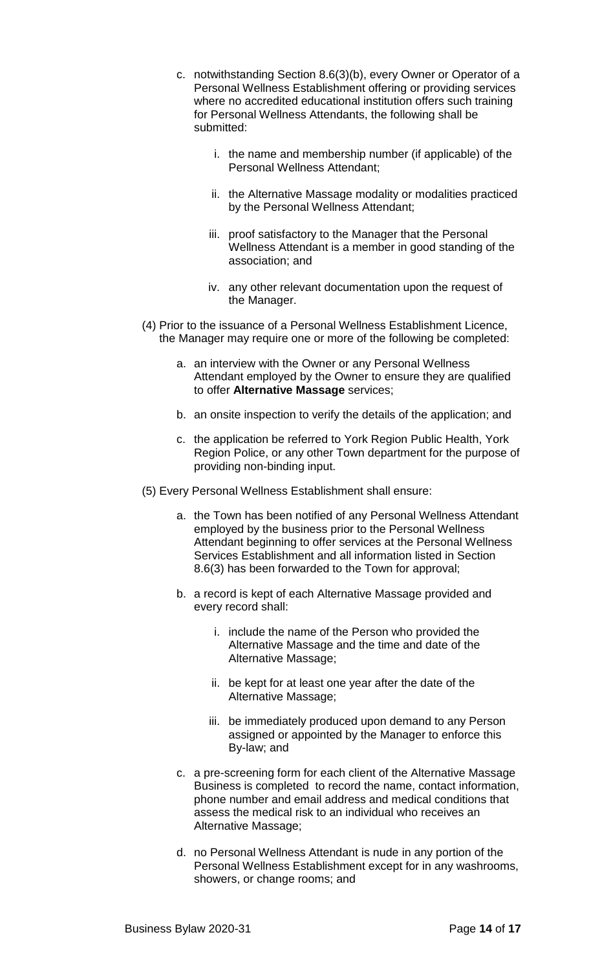- c. notwithstanding Section 8.6(3)(b), every Owner or Operator of a Personal Wellness Establishment offering or providing services where no accredited educational institution offers such training for Personal Wellness Attendants, the following shall be submitted:
	- i. the name and membership number (if applicable) of the Personal Wellness Attendant;
	- ii. the Alternative Massage modality or modalities practiced by the Personal Wellness Attendant;
	- iii. proof satisfactory to the Manager that the Personal Wellness Attendant is a member in good standing of the association; and
	- iv. any other relevant documentation upon the request of the Manager.
- (4) Prior to the issuance of a Personal Wellness Establishment Licence, the Manager may require one or more of the following be completed:
	- a. an interview with the Owner or any Personal Wellness Attendant employed by the Owner to ensure they are qualified to offer **Alternative Massage** services;
	- b. an onsite inspection to verify the details of the application; and
	- c. the application be referred to York Region Public Health, York Region Police, or any other Town department for the purpose of providing non-binding input.
- (5) Every Personal Wellness Establishment shall ensure:
	- a. the Town has been notified of any Personal Wellness Attendant employed by the business prior to the Personal Wellness Attendant beginning to offer services at the Personal Wellness Services Establishment and all information listed in Section 8.6(3) has been forwarded to the Town for approval;
	- b. a record is kept of each Alternative Massage provided and every record shall:
		- i. include the name of the Person who provided the Alternative Massage and the time and date of the Alternative Massage;
		- ii. be kept for at least one year after the date of the Alternative Massage;
		- iii. be immediately produced upon demand to any Person assigned or appointed by the Manager to enforce this By-law; and
	- c. a pre-screening form for each client of the Alternative Massage Business is completed to record the name, contact information, phone number and email address and medical conditions that assess the medical risk to an individual who receives an Alternative Massage;
	- d. no Personal Wellness Attendant is nude in any portion of the Personal Wellness Establishment except for in any washrooms, showers, or change rooms; and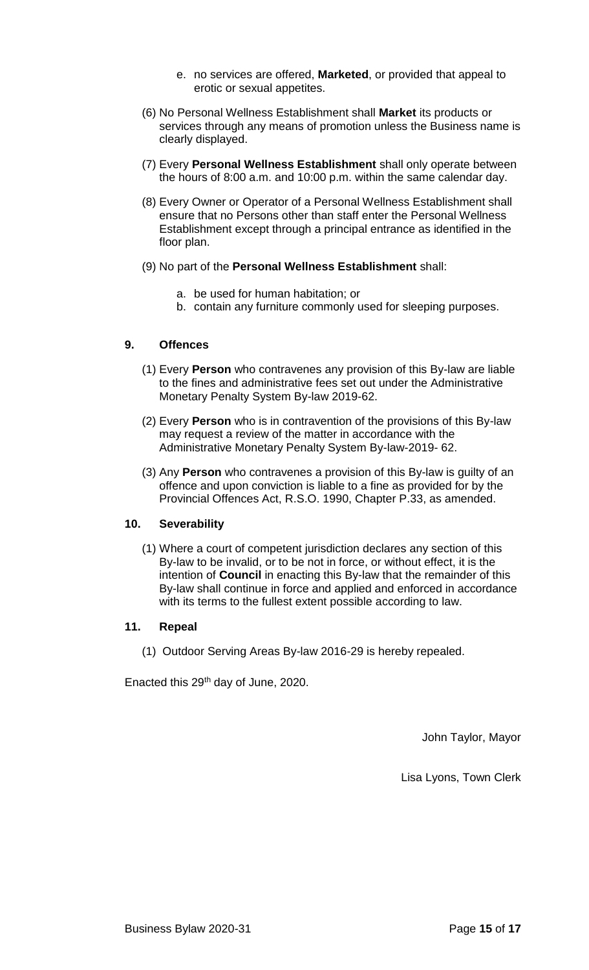- e. no services are offered, **Marketed**, or provided that appeal to erotic or sexual appetites.
- (6) No Personal Wellness Establishment shall **Market** its products or services through any means of promotion unless the Business name is clearly displayed.
- (7) Every **Personal Wellness Establishment** shall only operate between the hours of 8:00 a.m. and 10:00 p.m. within the same calendar day.
- (8) Every Owner or Operator of a Personal Wellness Establishment shall ensure that no Persons other than staff enter the Personal Wellness Establishment except through a principal entrance as identified in the floor plan.
- (9) No part of the **Personal Wellness Establishment** shall:
	- a. be used for human habitation; or
	- b. contain any furniture commonly used for sleeping purposes.

## **9. Offences**

- (1) Every **Person** who contravenes any provision of this By-law are liable to the fines and administrative fees set out under the Administrative Monetary Penalty System By-law 2019-62.
- (2) Every **Person** who is in contravention of the provisions of this By-law may request a review of the matter in accordance with the Administrative Monetary Penalty System By-law-2019- 62.
- (3) Any **Person** who contravenes a provision of this By-law is guilty of an offence and upon conviction is liable to a fine as provided for by the Provincial Offences Act, R.S.O. 1990, Chapter P.33, as amended.

# **10. Severability**

(1) Where a court of competent jurisdiction declares any section of this By-law to be invalid, or to be not in force, or without effect, it is the intention of **Council** in enacting this By-law that the remainder of this By-law shall continue in force and applied and enforced in accordance with its terms to the fullest extent possible according to law.

#### **11. Repeal**

(1) Outdoor Serving Areas By-law 2016-29 is hereby repealed.

Enacted this 29th day of June, 2020.

John Taylor, Mayor

Lisa Lyons, Town Clerk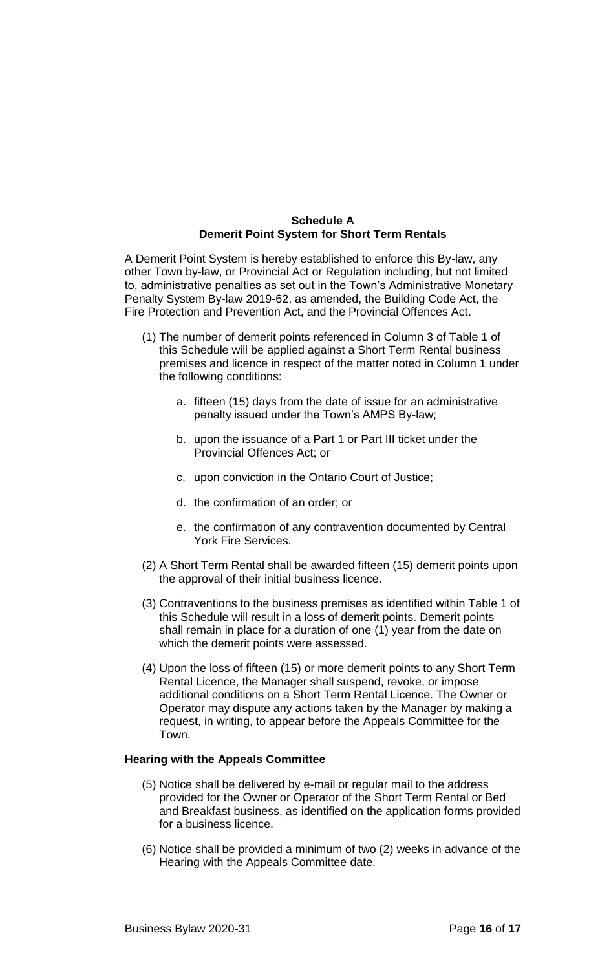# **Schedule A Demerit Point System for Short Term Rentals**

A Demerit Point System is hereby established to enforce this By-law, any other Town by-law, or Provincial Act or Regulation including, but not limited to, administrative penalties as set out in the Town's Administrative Monetary Penalty System By-law 2019-62, as amended, the Building Code Act, the Fire Protection and Prevention Act, and the Provincial Offences Act.

- (1) The number of demerit points referenced in Column 3 of Table 1 of this Schedule will be applied against a Short Term Rental business premises and licence in respect of the matter noted in Column 1 under the following conditions:
	- a. fifteen (15) days from the date of issue for an administrative penalty issued under the Town's AMPS By-law;
	- b. upon the issuance of a Part 1 or Part III ticket under the Provincial Offences Act; or
	- c. upon conviction in the Ontario Court of Justice;
	- d. the confirmation of an order; or
	- e. the confirmation of any contravention documented by Central York Fire Services.
- (2) A Short Term Rental shall be awarded fifteen (15) demerit points upon the approval of their initial business licence.
- (3) Contraventions to the business premises as identified within Table 1 of this Schedule will result in a loss of demerit points. Demerit points shall remain in place for a duration of one (1) year from the date on which the demerit points were assessed.
- (4) Upon the loss of fifteen (15) or more demerit points to any Short Term Rental Licence, the Manager shall suspend, revoke, or impose additional conditions on a Short Term Rental Licence. The Owner or Operator may dispute any actions taken by the Manager by making a request, in writing, to appear before the Appeals Committee for the Town.

#### **Hearing with the Appeals Committee**

- (5) Notice shall be delivered by e-mail or regular mail to the address provided for the Owner or Operator of the Short Term Rental or Bed and Breakfast business, as identified on the application forms provided for a business licence.
- (6) Notice shall be provided a minimum of two (2) weeks in advance of the Hearing with the Appeals Committee date.